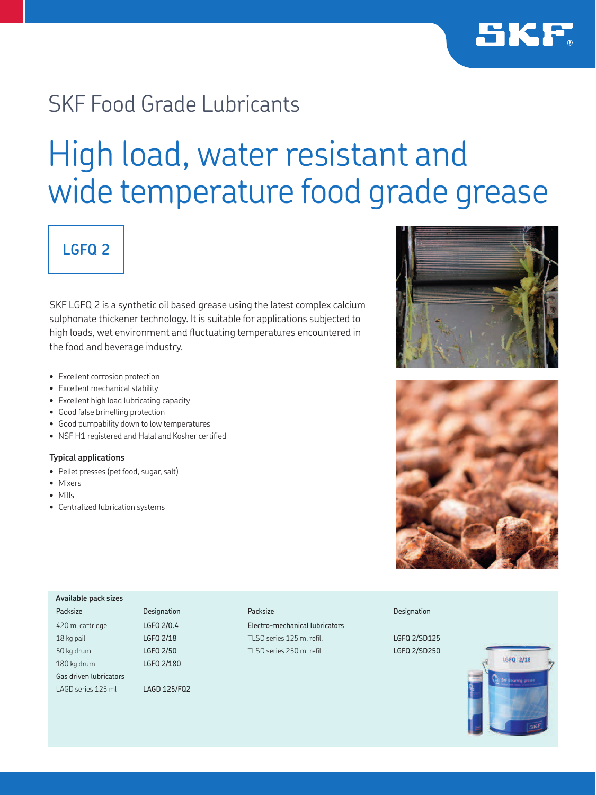

## SKF Food Grade Lubricants

# High load, water resistant and wide temperature food grade grease

## **LGFQ 2**

SKF LGFQ 2 is a synthetic oil based grease using the latest complex calcium sulphonate thickener technology. It is suitable for applications subjected to high loads, wet environment and fluctuating temperatures encountered in the food and beverage industry.

- Excellent corrosion protection
- Excellent mechanical stability
- Excellent high load lubricating capacity
- Good false brinelling protection
- Good pumpability down to low temperatures
- NSF H1 registered and Halal and Kosher certified

## **Typical applications**

- Pellet presses (pet food, sugar, salt)
- Mixers
- Mills
- Centralized lubrication systems





| Packsize               | Designation  | Packsize                       | Designation  |                           |
|------------------------|--------------|--------------------------------|--------------|---------------------------|
| 420 ml cartridge       | LGFQ 2/0.4   | Electro-mechanical lubricators |              |                           |
| 18 kg pail             | LGFQ 2/18    | TLSD series 125 ml refill      | LGFQ 2/SD125 |                           |
| 50 kg drum             | LGFQ 2/50    | TLSD series 250 ml refill      | LGFQ 2/SD250 |                           |
| 180 kg drum            | LGFQ 2/180   |                                |              | LGFQ 2/18                 |
| Gas driven lubricators |              |                                |              | <b>SNF Bearing grows!</b> |
| LAGD series 125 ml     | LAGD 125/FQ2 |                                |              |                           |
|                        |              |                                |              |                           |